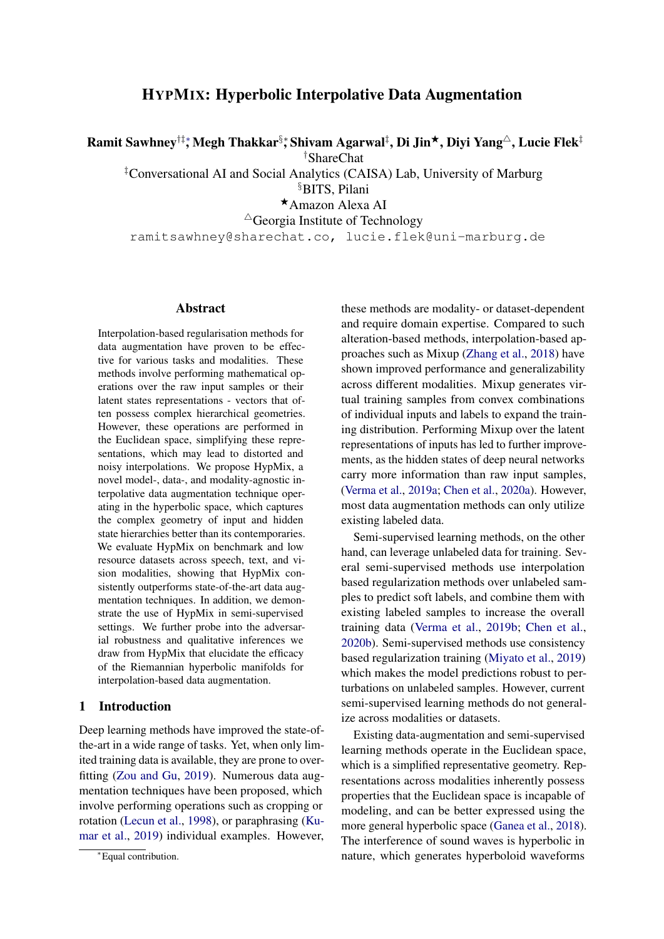# HYPMIX: Hyperbolic Interpolative Data Augmentation

Ramit Sawhney†‡\*, Megh Thakkar $\S$ \*, Shivam Agarwal $^\ddag$ , Di Jin $^\star$ , Diyi Yang $^\vartriangle$ , Lucie Flek $^\ddag$ 

†ShareChat

‡Conversational AI and Social Analytics (CAISA) Lab, University of Marburg §BITS, Pilani

<sup>F</sup>Amazon Alexa AI

 $\triangle$ Georgia Institute of Technology

ramitsawhney@sharechat.co, lucie.flek@uni-marburg.de

## **Abstract**

Interpolation-based regularisation methods for data augmentation have proven to be effective for various tasks and modalities. These methods involve performing mathematical operations over the raw input samples or their latent states representations - vectors that often possess complex hierarchical geometries. However, these operations are performed in the Euclidean space, simplifying these representations, which may lead to distorted and noisy interpolations. We propose HypMix, a novel model-, data-, and modality-agnostic interpolative data augmentation technique operating in the hyperbolic space, which captures the complex geometry of input and hidden state hierarchies better than its contemporaries. We evaluate HypMix on benchmark and low resource datasets across speech, text, and vision modalities, showing that HypMix consistently outperforms state-of-the-art data augmentation techniques. In addition, we demonstrate the use of HypMix in semi-supervised settings. We further probe into the adversarial robustness and qualitative inferences we draw from HypMix that elucidate the efficacy of the Riemannian hyperbolic manifolds for interpolation-based data augmentation.

## 1 Introduction

Deep learning methods have improved the state-ofthe-art in a wide range of tasks. Yet, when only limited training data is available, they are prone to overfitting [\(Zou and Gu,](#page-10-0) [2019\)](#page-10-0). Numerous data augmentation techniques have been proposed, which involve performing operations such as cropping or rotation [\(Lecun et al.,](#page-9-0) [1998\)](#page-9-0), or paraphrasing [\(Ku](#page-9-1)[mar et al.,](#page-9-1) [2019\)](#page-9-1) individual examples. However, these methods are modality- or dataset-dependent and require domain expertise. Compared to such alteration-based methods, interpolation-based approaches such as Mixup [\(Zhang et al.,](#page-10-1) [2018\)](#page-10-1) have shown improved performance and generalizability across different modalities. Mixup generates virtual training samples from convex combinations of individual inputs and labels to expand the training distribution. Performing Mixup over the latent representations of inputs has led to further improvements, as the hidden states of deep neural networks carry more information than raw input samples, [\(Verma et al.,](#page-10-2) [2019a;](#page-10-2) [Chen et al.,](#page-8-0) [2020a\)](#page-8-0). However, most data augmentation methods can only utilize existing labeled data.

Semi-supervised learning methods, on the other hand, can leverage unlabeled data for training. Several semi-supervised methods use interpolation based regularization methods over unlabeled samples to predict soft labels, and combine them with existing labeled samples to increase the overall training data [\(Verma et al.,](#page-10-3) [2019b;](#page-10-3) [Chen et al.,](#page-8-1) [2020b\)](#page-8-1). Semi-supervised methods use consistency based regularization training [\(Miyato et al.,](#page-9-2) [2019\)](#page-9-2) which makes the model predictions robust to perturbations on unlabeled samples. However, current semi-supervised learning methods do not generalize across modalities or datasets.

Existing data-augmentation and semi-supervised learning methods operate in the Euclidean space, which is a simplified representative geometry. Representations across modalities inherently possess properties that the Euclidean space is incapable of modeling, and can be better expressed using the more general hyperbolic space [\(Ganea et al.,](#page-9-3) [2018\)](#page-9-3). The interference of sound waves is hyperbolic in nature, which generates hyperboloid waveforms

<sup>∗</sup>Equal contribution.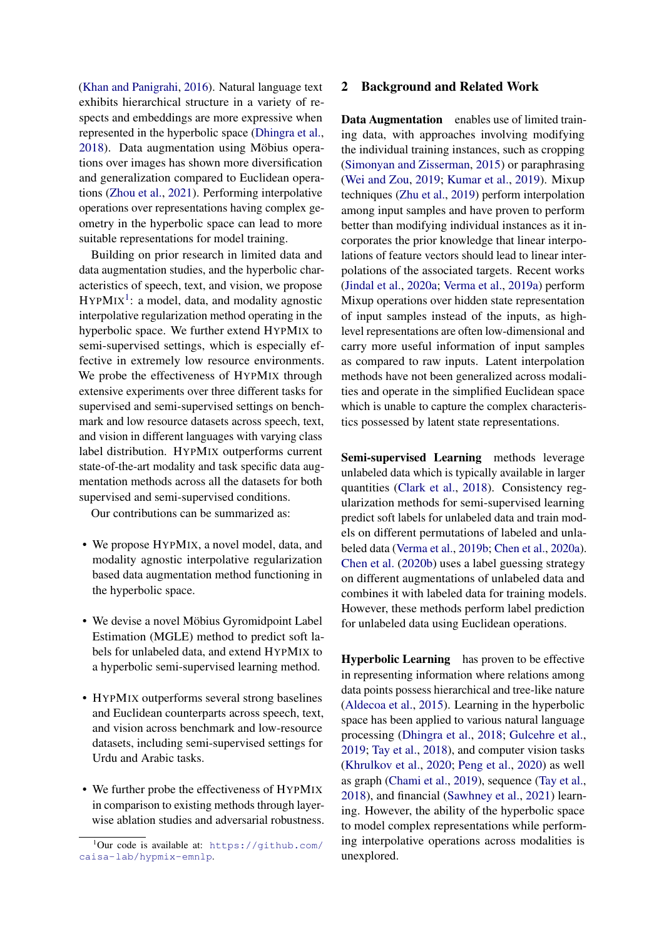[\(Khan and Panigrahi,](#page-9-4) [2016\)](#page-9-4). Natural language text exhibits hierarchical structure in a variety of respects and embeddings are more expressive when represented in the hyperbolic space [\(Dhingra et al.,](#page-8-2) [2018\)](#page-8-2). Data augmentation using Möbius operations over images has shown more diversification and generalization compared to Euclidean operations [\(Zhou et al.,](#page-10-4) [2021\)](#page-10-4). Performing interpolative operations over representations having complex geometry in the hyperbolic space can lead to more suitable representations for model training.

Building on prior research in limited data and data augmentation studies, and the hyperbolic characteristics of speech, text, and vision, we propose  $HYPMIX<sup>1</sup>$  $HYPMIX<sup>1</sup>$  $HYPMIX<sup>1</sup>$ : a model, data, and modality agnostic interpolative regularization method operating in the hyperbolic space. We further extend HYPMIX to semi-supervised settings, which is especially effective in extremely low resource environments. We probe the effectiveness of HYPMIX through extensive experiments over three different tasks for supervised and semi-supervised settings on benchmark and low resource datasets across speech, text, and vision in different languages with varying class label distribution. HYPMIX outperforms current state-of-the-art modality and task specific data augmentation methods across all the datasets for both supervised and semi-supervised conditions.

Our contributions can be summarized as:

- We propose HYPMIX, a novel model, data, and modality agnostic interpolative regularization based data augmentation method functioning in the hyperbolic space.
- We devise a novel Möbius Gyromidpoint Label Estimation (MGLE) method to predict soft labels for unlabeled data, and extend HYPMIX to a hyperbolic semi-supervised learning method.
- HYPMIX outperforms several strong baselines and Euclidean counterparts across speech, text, and vision across benchmark and low-resource datasets, including semi-supervised settings for Urdu and Arabic tasks.
- We further probe the effectiveness of HYPMIX in comparison to existing methods through layerwise ablation studies and adversarial robustness.

## 2 Background and Related Work

Data Augmentation enables use of limited training data, with approaches involving modifying the individual training instances, such as cropping [\(Simonyan and Zisserman,](#page-10-5) [2015\)](#page-10-5) or paraphrasing [\(Wei and Zou,](#page-10-6) [2019;](#page-10-6) [Kumar et al.,](#page-9-1) [2019\)](#page-9-1). Mixup techniques [\(Zhu et al.,](#page-10-7) [2019\)](#page-10-7) perform interpolation among input samples and have proven to perform better than modifying individual instances as it incorporates the prior knowledge that linear interpolations of feature vectors should lead to linear interpolations of the associated targets. Recent works [\(Jindal et al.,](#page-9-5) [2020a;](#page-9-5) [Verma et al.,](#page-10-2) [2019a\)](#page-10-2) perform Mixup operations over hidden state representation of input samples instead of the inputs, as highlevel representations are often low-dimensional and carry more useful information of input samples as compared to raw inputs. Latent interpolation methods have not been generalized across modalities and operate in the simplified Euclidean space which is unable to capture the complex characteristics possessed by latent state representations.

Semi-supervised Learning methods leverage unlabeled data which is typically available in larger quantities [\(Clark et al.,](#page-8-3) [2018\)](#page-8-3). Consistency regularization methods for semi-supervised learning predict soft labels for unlabeled data and train models on different permutations of labeled and unlabeled data [\(Verma et al.,](#page-10-3) [2019b;](#page-10-3) [Chen et al.,](#page-8-0) [2020a\)](#page-8-0). [Chen et al.](#page-8-1) [\(2020b\)](#page-8-1) uses a label guessing strategy on different augmentations of unlabeled data and combines it with labeled data for training models. However, these methods perform label prediction for unlabeled data using Euclidean operations.

Hyperbolic Learning has proven to be effective in representing information where relations among data points possess hierarchical and tree-like nature [\(Aldecoa et al.,](#page-8-4) [2015\)](#page-8-4). Learning in the hyperbolic space has been applied to various natural language processing [\(Dhingra et al.,](#page-8-2) [2018;](#page-8-2) [Gulcehre et al.,](#page-9-6) [2019;](#page-9-6) [Tay et al.,](#page-10-8) [2018\)](#page-10-8), and computer vision tasks [\(Khrulkov et al.,](#page-9-7) [2020;](#page-9-7) [Peng et al.,](#page-9-8) [2020\)](#page-9-8) as well as graph [\(Chami et al.,](#page-8-5) [2019\)](#page-8-5), sequence [\(Tay et al.,](#page-10-8) [2018\)](#page-10-8), and financial [\(Sawhney et al.,](#page-10-9) [2021\)](#page-10-9) learning. However, the ability of the hyperbolic space to model complex representations while performing interpolative operations across modalities is unexplored.

<span id="page-1-0"></span> $1$ Our code is available at: [https://github.com/](https://github.com/caisa-lab/hypmix-emnlp) [caisa-lab/hypmix-emnlp](https://github.com/caisa-lab/hypmix-emnlp).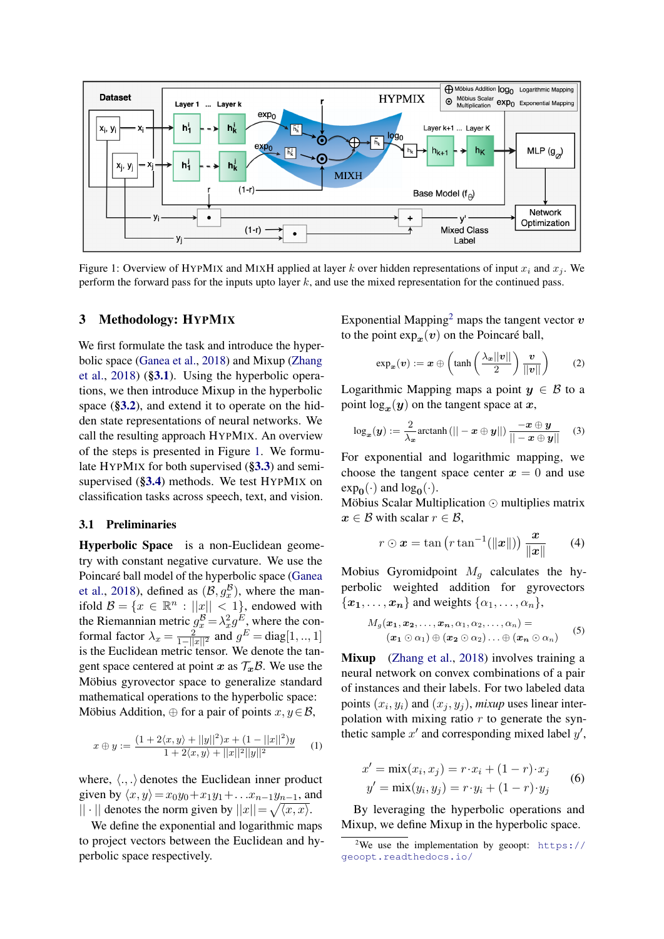<span id="page-2-1"></span>

Figure 1: Overview of HYPMIX and MIXH applied at layer k over hidden representations of input  $x_i$  and  $x_j$ . We perform the forward pass for the inputs upto layer k, and use the mixed representation for the continued pass.

#### 3 Methodology: HYPMIX

We first formulate the task and introduce the hyperbolic space [\(Ganea et al.,](#page-9-3) [2018\)](#page-9-3) and Mixup [\(Zhang](#page-10-1) [et al.,](#page-10-1) [2018\)](#page-10-1) ([§3.1](#page-2-0)). Using the hyperbolic operations, we then introduce Mixup in the hyperbolic space ([§3.2](#page-3-0)), and extend it to operate on the hidden state representations of neural networks. We call the resulting approach HYPMIX. An overview of the steps is presented in Figure [1.](#page-2-1) We formulate HYPMIX for both supervised ([§3.3](#page-3-1)) and semisupervised ([§3.4](#page-3-2)) methods. We test HYPMIX on classification tasks across speech, text, and vision.

#### <span id="page-2-0"></span>3.1 Preliminaries

Hyperbolic Space is a non-Euclidean geometry with constant negative curvature. We use the Poincaré ball model of the hyperbolic space [\(Ganea](#page-9-3) [et al.,](#page-9-3) [2018\)](#page-9-3), defined as  $(\mathcal{B}, g_x^{\mathcal{B}})$ , where the manet al., 2018), defined as  $(D, g_x)$ , where the main-<br>ifold  $\mathcal{B} = \{x \in \mathbb{R}^n : ||x|| < 1\}$ , endowed with the Riemannian metric  $g_x^B = \lambda_x^2 g^E$ , where the conformal factor  $\lambda_x = \frac{2}{1-||x||^2}$  and  $g^E = \text{diag}[1, ..., 1]$ is the Euclidean metric tensor. We denote the tangent space centered at point x as  $\mathcal{T}_x\mathcal{B}$ . We use the Möbius gyrovector space to generalize standard mathematical operations to the hyperbolic space: Möbius Addition,  $\oplus$  for a pair of points  $x, y \in \mathcal{B}$ ,

$$
x \oplus y := \frac{(1 + 2\langle x, y \rangle + ||y||^2)x + (1 - ||x||^2)y}{1 + 2\langle x, y \rangle + ||x||^2||y||^2}
$$
 (1)

where,  $\langle ., . \rangle$  denotes the Euclidean inner product given by  $\langle x, y \rangle = x_0y_0 + x_1y_1 + ... x_{n-1}y_{n-1}$ , and  $|| \cdot ||$  denotes the norm given by  $||x|| = \sqrt{\langle x, x \rangle}$ .

We define the exponential and logarithmic maps to project vectors between the Euclidean and hyperbolic space respectively.

Exponential Mapping<sup>[2](#page-2-2)</sup> maps the tangent vector  $\boldsymbol{v}$ to the point  $\exp_x(v)$  on the Poincaré ball,

$$
\exp_{\boldsymbol{x}}(\boldsymbol{v}) := \boldsymbol{x} \oplus \left(\tanh\left(\frac{\lambda_{\boldsymbol{x}}||\boldsymbol{v}||}{2}\right)\frac{\boldsymbol{v}}{||\boldsymbol{v}||}\right) \qquad (2)
$$

Logarithmic Mapping maps a point  $y \in B$  to a point  $\log_x(y)$  on the tangent space at x,

$$
\log_{\boldsymbol{x}}(\boldsymbol{y}) := \frac{2}{\lambda_{\boldsymbol{x}}} \text{arctanh}\left(||-\boldsymbol{x} \oplus \boldsymbol{y}||\right) \frac{-\boldsymbol{x} \oplus \boldsymbol{y}}{||-\boldsymbol{x} \oplus \boldsymbol{y}||}
$$
 (3)

For exponential and logarithmic mapping, we choose the tangent space center  $x = 0$  and use  $exp_0(\cdot)$  and  $log_0(\cdot)$ .

Möbius Scalar Multiplication  $\odot$  multiplies matrix  $x \in \mathcal{B}$  with scalar  $r \in \mathcal{B}$ ,

$$
r \odot \boldsymbol{x} = \tan\left(r \tan^{-1}(\|\boldsymbol{x}\|)\right) \frac{\boldsymbol{x}}{\|\boldsymbol{x}\|} \qquad (4)
$$

Mobius Gyromidpoint  $M<sub>g</sub>$  calculates the hyperbolic weighted addition for gyrovectors  $\{\boldsymbol{x_1}, \ldots, \boldsymbol{x_n}\}$  and weights  $\{\alpha_1, \ldots, \alpha_n\},\$ 

$$
M_g(\boldsymbol{x_1},\boldsymbol{x_2},\ldots,\boldsymbol{x_n},\alpha_1,\alpha_2,\ldots,\alpha_n) =
$$
  

$$
(\boldsymbol{x_1} \odot \alpha_1) \oplus (\boldsymbol{x_2} \odot \alpha_2) \ldots \oplus (\boldsymbol{x_n} \odot \alpha_n)
$$
 (5)

Mixup [\(Zhang et al.,](#page-10-1) [2018\)](#page-10-1) involves training a neural network on convex combinations of a pair of instances and their labels. For two labeled data points  $(x_i, y_i)$  and  $(x_j, y_j)$ , *mixup* uses linear interpolation with mixing ratio  $r$  to generate the synthetic sample  $x'$  and corresponding mixed label  $y'$ ,

$$
x' = \min(x_i, x_j) = r \cdot x_i + (1 - r) \cdot x_j
$$
  
\n
$$
y' = \min(y_i, y_j) = r \cdot y_i + (1 - r) \cdot y_j
$$
 (6)

By leveraging the hyperbolic operations and Mixup, we define Mixup in the hyperbolic space.

<span id="page-2-2"></span><sup>&</sup>lt;sup>2</sup>We use the implementation by geoopt: [https://](https://geoopt.readthedocs.io/) [geoopt.readthedocs.io/](https://geoopt.readthedocs.io/)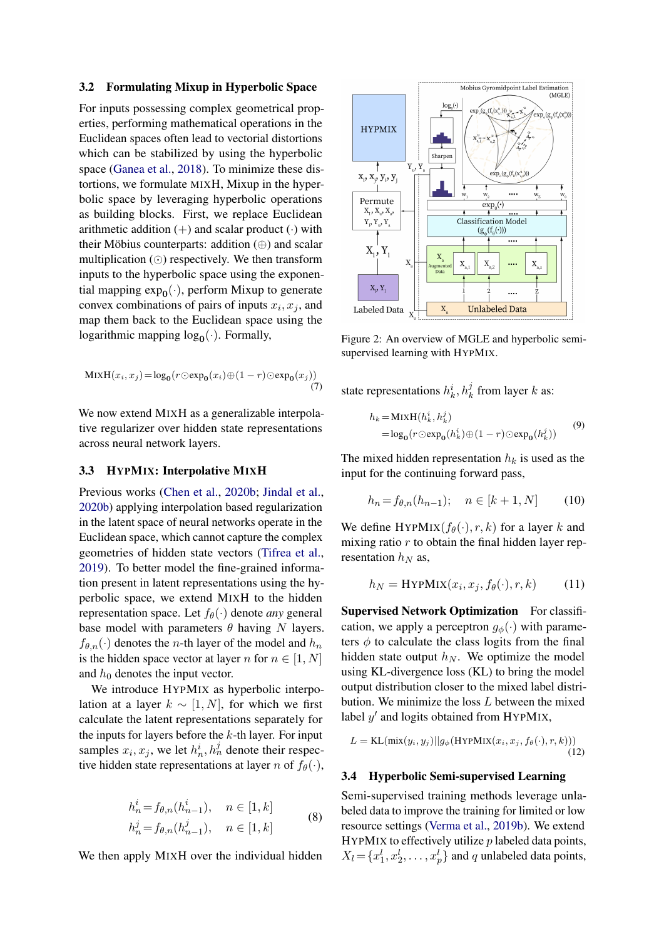#### <span id="page-3-0"></span>3.2 Formulating Mixup in Hyperbolic Space

For inputs possessing complex geometrical properties, performing mathematical operations in the Euclidean spaces often lead to vectorial distortions which can be stabilized by using the hyperbolic space [\(Ganea et al.,](#page-9-3) [2018\)](#page-9-3). To minimize these distortions, we formulate MIXH, Mixup in the hyperbolic space by leveraging hyperbolic operations as building blocks. First, we replace Euclidean arithmetic addition  $(+)$  and scalar product  $(·)$  with their Möbius counterparts: addition (⊕) and scalar multiplication  $\circlearrowleft$ ) respectively. We then transform inputs to the hyperbolic space using the exponential mapping  $\exp_0(\cdot)$ , perform Mixup to generate convex combinations of pairs of inputs  $x_i, x_j$ , and map them back to the Euclidean space using the logarithmic mapping  $log_0(\cdot)$ . Formally,

$$
\text{MixH}(x_i, x_j) = \log_{\mathbf{0}}(r \odot \exp_{\mathbf{0}}(x_i) \oplus (1 - r) \odot \exp_{\mathbf{0}}(x_j))
$$
\n<sup>(7)</sup>

We now extend MIXH as a generalizable interpolative regularizer over hidden state representations across neural network layers.

### <span id="page-3-1"></span>3.3 HYPMIX: Interpolative MIXH

Previous works [\(Chen et al.,](#page-8-1) [2020b;](#page-8-1) [Jindal et al.,](#page-9-9) [2020b\)](#page-9-9) applying interpolation based regularization in the latent space of neural networks operate in the Euclidean space, which cannot capture the complex geometries of hidden state vectors [\(Tifrea et al.,](#page-10-10) [2019\)](#page-10-10). To better model the fine-grained information present in latent representations using the hyperbolic space, we extend MIXH to the hidden representation space. Let  $f_{\theta}(\cdot)$  denote *any* general base model with parameters  $\theta$  having N layers.  $f_{\theta,n}(\cdot)$  denotes the *n*-th layer of the model and  $h_n$ is the hidden space vector at layer n for  $n \in [1, N]$ and  $h_0$  denotes the input vector.

We introduce HYPMIX as hyperbolic interpolation at a layer  $k \sim [1, N]$ , for which we first calculate the latent representations separately for the inputs for layers before the  $k$ -th layer. For input samples  $x_i, x_j$ , we let  $h_n^i, h_n^j$  denote their respective hidden state representations at layer n of  $f_{\theta}(\cdot)$ ,

$$
h_n^i = f_{\theta,n}(h_{n-1}^i), \quad n \in [1, k]
$$
  

$$
h_n^j = f_{\theta,n}(h_{n-1}^j), \quad n \in [1, k]
$$
 (8)

We then apply MIXH over the individual hidden

<span id="page-3-3"></span>

Figure 2: An overview of MGLE and hyperbolic semisupervised learning with HYPMIX.

state representations  $h_k^i$ ,  $h_k^j$  from layer k as:

$$
h_k = \text{MixH}(h_k^i, h_k^j)
$$
  
= log<sub>0</sub>(r ⊙ exp<sub>0</sub>(h\_k^i) ⊕ (1 - r) ⊙ exp<sub>0</sub>(h\_k^j)) (9)

The mixed hidden representation  $h_k$  is used as the input for the continuing forward pass,

$$
h_n = f_{\theta,n}(h_{n-1}); \quad n \in [k+1, N] \tag{10}
$$

We define HYPMIX $(f_{\theta}(\cdot), r, k)$  for a layer k and mixing ratio  $r$  to obtain the final hidden layer representation  $h_N$  as,

$$
h_N = \text{HYPMIX}(x_i, x_j, f_{\theta}(\cdot), r, k) \tag{11}
$$

Supervised Network Optimization For classification, we apply a perceptron  $g_{\phi}(\cdot)$  with parameters  $\phi$  to calculate the class logits from the final hidden state output  $h_N$ . We optimize the model using KL-divergence loss (KL) to bring the model output distribution closer to the mixed label distribution. We minimize the loss  $L$  between the mixed label  $y'$  and logits obtained from HYPMIX,

$$
L = \text{KL}(\text{mix}(y_i, y_j)||g_{\phi}(\text{HYPMIX}(x_i, x_j, f_{\theta}(\cdot), r, k)))
$$
\n(12)

#### <span id="page-3-2"></span>3.4 Hyperbolic Semi-supervised Learning

Semi-supervised training methods leverage unlabeled data to improve the training for limited or low resource settings [\(Verma et al.,](#page-10-3) [2019b\)](#page-10-3). We extend HYPMIX to effectively utilize  $p$  labeled data points,  $X_l = \{x_1^l, x_2^l, \dots, x_p^l\}$  and q unlabeled data points,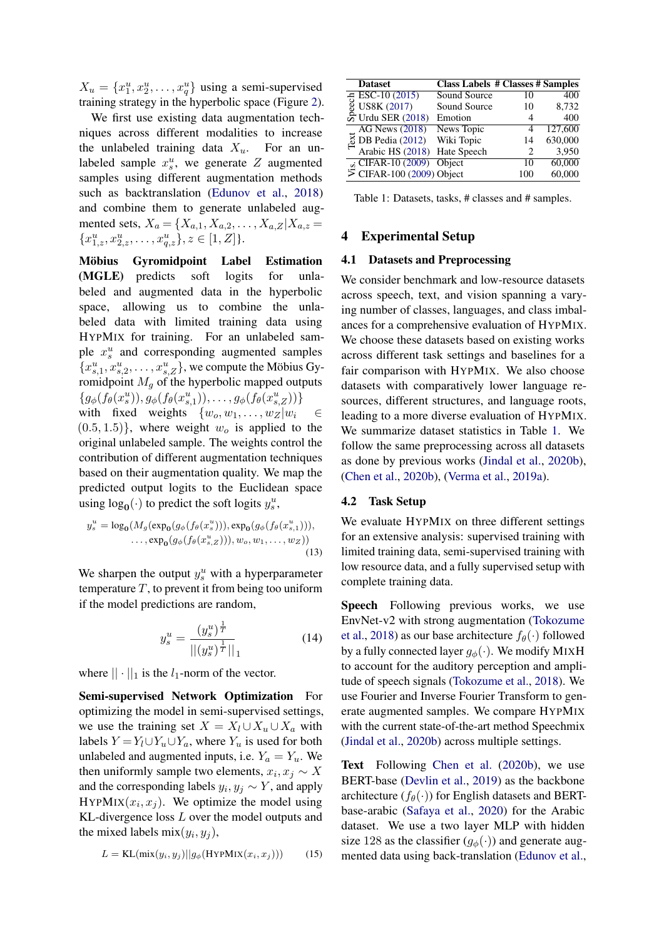$X_u = \{x_1^u, x_2^u, \dots, x_q^u\}$  using a semi-supervised training strategy in the hyperbolic space (Figure [2\)](#page-3-3).

We first use existing data augmentation techniques across different modalities to increase the unlabeled training data  $X_u$ . For an unlabeled sample  $x_s^u$ , we generate Z augmented samples using different augmentation methods such as backtranslation [\(Edunov et al.,](#page-8-6) [2018\)](#page-8-6) and combine them to generate unlabeled augmented sets,  $X_a = \{X_{a,1}, X_{a,2}, \ldots, X_{a,Z} | X_{a,z} =$  ${x_{1,z}^u, x_{2,z}^u, \ldots, x_{q,z}^u}, z \in [1, Z].$ 

Möbius Gyromidpoint Label Estimation (MGLE) predicts soft logits for unlabeled and augmented data in the hyperbolic space, allowing us to combine the unlabeled data with limited training data using HYPMIX for training. For an unlabeled sample  $x_s^u$  and corresponding augmented samples  ${x_{s,1}^u, x_{s,2}^u, \ldots, x_{s,Z}^u}$ , we compute the Möbius Gyromidpoint  $M_q$  of the hyperbolic mapped outputs  $\{g_{\phi}(f_{\theta}(x_s^u)), g_{\phi}(f_{\theta}(x_{s,1}^u)), \ldots, g_{\phi}(f_{\theta}(x_{s,Z}^u))\}$ with fixed weights  $\{w_0, w_1, \ldots, w_Z|w_i \in$  $(0.5, 1.5)$ , where weight  $w<sub>o</sub>$  is applied to the original unlabeled sample. The weights control the contribution of different augmentation techniques based on their augmentation quality. We map the predicted output logits to the Euclidean space using  $log_0(\cdot)$  to predict the soft logits  $y_s^u$ ,

$$
y_s^u = \log_{\mathbf{0}}(M_g(\exp_{\mathbf{0}}(g_{\phi}(f_{\theta}(x_s^u))), \exp_{\mathbf{0}}(g_{\phi}(f_{\theta}(x_{s,1}^u))),\dots, \exp_{\mathbf{0}}(g_{\phi}(f_{\theta}(x_{s,Z}^u))), w_o, w_1, \dots, w_Z))
$$
\n(13)

We sharpen the output  $y_s^u$  with a hyperparameter temperature  $T$ , to prevent it from being too uniform if the model predictions are random,

$$
y_s^u = \frac{(y_s^u)^{\frac{1}{T}}}{|| (y_s^u)^{\frac{1}{T}} ||}_1
$$
 (14)

where  $|| \cdot ||_1$  is the  $l_1$ -norm of the vector.

Semi-supervised Network Optimization For optimizing the model in semi-supervised settings, we use the training set  $X = X_l \cup X_u \cup X_a$  with labels  $Y = Y_l \cup Y_u \cup Y_a$ , where  $Y_u$  is used for both unlabeled and augmented inputs, i.e.  $Y_a = Y_u$ . We then uniformly sample two elements,  $x_i, x_j \sim X$ and the corresponding labels  $y_i, y_j \sim Y$ , and apply HYPMIX $(x_i, x_j)$ . We optimize the model using KL-divergence loss L over the model outputs and the mixed labels mix $(y_i, y_j)$ ,

$$
L = \text{KL}(\text{mix}(y_i, y_j)||g_{\phi}(\text{HYPMIX}(x_i, x_j))) \tag{15}
$$

<span id="page-4-0"></span>

| <b>Dataset</b>                              | <b>Class Labels # Classes # Samples</b> |     |         |
|---------------------------------------------|-----------------------------------------|-----|---------|
| <del>g</del> ESC-10 (2015)<br>↓ US8K (2017) | Sound Source                            | 10  | 400     |
|                                             | Sound Source                            | 10  | 8,732   |
| ္တိ Urdu SER $(2018)$                       | Emotion                                 | 4   | 400     |
| <b>AG News (2018)</b>                       | News Topic                              | 4   | 127,600 |
| $\overline{8}$ DB Pedia (2012)              | Wiki Topic                              | 14  | 630,000 |
| Arabic HS (2018)                            | Hate Speech                             |     | 3,950   |
| $\vec{a}$ CIFAR-10 (2009)                   | Object                                  | 10  | 60,000  |
| $\overline{5}$ CIFAR-100 (2009) Object      |                                         | 100 | 60,000  |

Table 1: Datasets, tasks, # classes and # samples.

### 4 Experimental Setup

#### 4.1 Datasets and Preprocessing

We consider benchmark and low-resource datasets across speech, text, and vision spanning a varying number of classes, languages, and class imbalances for a comprehensive evaluation of HYPMIX. We choose these datasets based on existing works across different task settings and baselines for a fair comparison with HYPMIX. We also choose datasets with comparatively lower language resources, different structures, and language roots, leading to a more diverse evaluation of HYPMIX. We summarize dataset statistics in Table [1.](#page-4-0) We follow the same preprocessing across all datasets as done by previous works [\(Jindal et al.,](#page-9-9) [2020b\)](#page-9-9), [\(Chen et al.,](#page-8-1) [2020b\)](#page-8-1), [\(Verma et al.,](#page-10-2) [2019a\)](#page-10-2).

#### 4.2 Task Setup

We evaluate HYPMIX on three different settings for an extensive analysis: supervised training with limited training data, semi-supervised training with low resource data, and a fully supervised setup with complete training data.

Speech Following previous works, we use EnvNet-v2 with strong augmentation [\(Tokozume](#page-10-11) [et al.,](#page-10-11) [2018\)](#page-10-11) as our base architecture  $f_{\theta}(\cdot)$  followed by a fully connected layer  $g_{\phi}(\cdot)$ . We modify MIXH to account for the auditory perception and amplitude of speech signals [\(Tokozume et al.,](#page-10-11) [2018\)](#page-10-11). We use Fourier and Inverse Fourier Transform to generate augmented samples. We compare HYPMIX with the current state-of-the-art method Speechmix [\(Jindal et al.,](#page-9-9) [2020b\)](#page-9-9) across multiple settings.

Text Following [Chen et al.](#page-8-1) [\(2020b\)](#page-8-1), we use BERT-base [\(Devlin et al.,](#page-8-8) [2019\)](#page-8-8) as the backbone architecture  $(f_{\theta}(\cdot))$  for English datasets and BERTbase-arabic [\(Safaya et al.,](#page-9-15) [2020\)](#page-9-15) for the Arabic dataset. We use a two layer MLP with hidden size 128 as the classifier  $(q_{\phi}(\cdot))$  and generate augmented data using back-translation [\(Edunov et al.,](#page-8-6)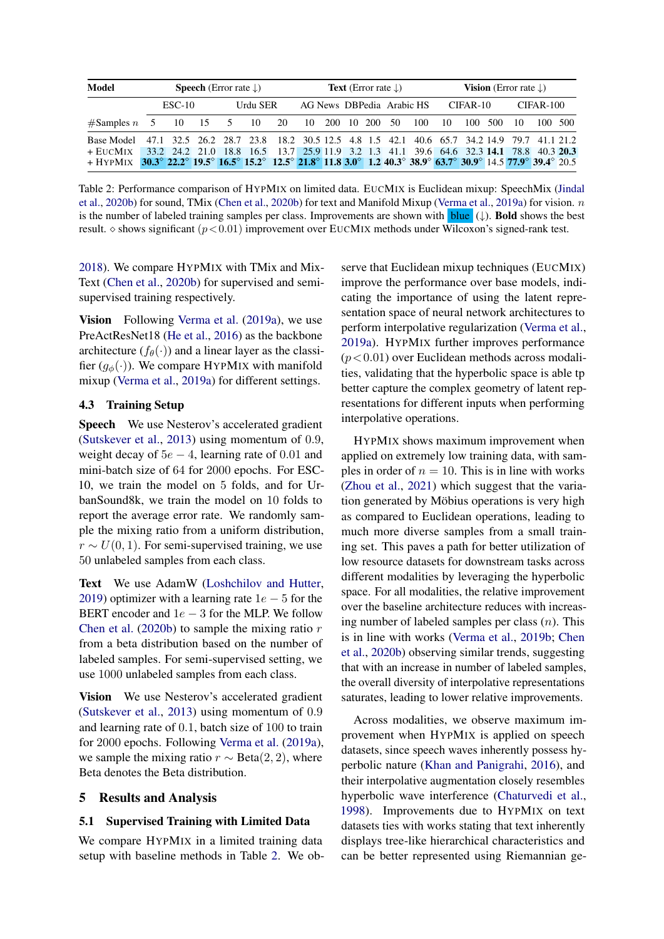<span id="page-5-0"></span>

| Model<br><b>Speech</b> (Error rate $\downarrow$ )                                                              |  |          | <b>Text</b> (Error rate $\downarrow$ ) |          |                                                                                         |               | <b>Vision</b> (Error rate $\downarrow$ ) |  |  |                           |     |    |          |  |    |             |  |
|----------------------------------------------------------------------------------------------------------------|--|----------|----------------------------------------|----------|-----------------------------------------------------------------------------------------|---------------|------------------------------------------|--|--|---------------------------|-----|----|----------|--|----|-------------|--|
|                                                                                                                |  | $ESC-10$ |                                        | Urdu SER |                                                                                         |               |                                          |  |  | AG News DBPedia Arabic HS |     |    | CIFAR-10 |  |    | $CIFAR-100$ |  |
| $#Samples n = 5$ 10 15 5 10                                                                                    |  |          |                                        |          | 20                                                                                      | 10 200 10 200 |                                          |  |  | -50                       | 100 | 10 | 100 500  |  | 10 | 100 500     |  |
| Base Model                                                                                                     |  |          |                                        |          | 47.1 32.5 26.2 28.7 23.8 18.2 30.5 12.5 4.8 1.5 42.1 40.6 65.7 34.2 14.9 79.7 41.1 21.2 |               |                                          |  |  |                           |     |    |          |  |    |             |  |
| + EucMix                                                                                                       |  |          |                                        |          | 33.2 24.2 21.0 18.8 16.5 13.7 25.9 11.9 3.2 1.3 41.1 39.6 64.6 32.3 14.1 78.8 40.3 20.3 |               |                                          |  |  |                           |     |    |          |  |    |             |  |
| + HYPMIX 30.3° 22.2° 19.5° 16.5° 15.2° 12.5° 21.8° 11.8 3.0° 1.2 40.3° 38.9° 63.7° 30.9° 14.5 77.9° 39.4° 20.5 |  |          |                                        |          |                                                                                         |               |                                          |  |  |                           |     |    |          |  |    |             |  |

Table 2: Performance comparison of HYPMIX on limited data. EUCMIX is Euclidean mixup: SpeechMix [\(Jindal](#page-9-9) [et al.,](#page-9-9) [2020b\)](#page-9-9) for sound, TMix [\(Chen et al.,](#page-8-1) [2020b\)](#page-8-1) for text and Manifold Mixup [\(Verma et al.,](#page-10-2) [2019a\)](#page-10-2) for vision. n is the number of labeled training samples per class. Improvements are shown with **blue**  $(\downarrow)$ . **Bold** shows the best result.  $\circ$  shows significant ( $p < 0.01$ ) improvement over EUCMIX methods under Wilcoxon's signed-rank test.

[2018\)](#page-8-6). We compare HYPMIX with TMix and Mix-Text [\(Chen et al.,](#page-8-1) [2020b\)](#page-8-1) for supervised and semisupervised training respectively.

Vision Following [Verma et al.](#page-10-2) [\(2019a\)](#page-10-2), we use PreActResNet18 [\(He et al.,](#page-9-16) [2016\)](#page-9-16) as the backbone architecture ( $f_{\theta}(\cdot)$ ) and a linear layer as the classifier  $(q_{\phi}(\cdot))$ . We compare HYPMIX with manifold mixup [\(Verma et al.,](#page-10-2) [2019a\)](#page-10-2) for different settings.

#### 4.3 Training Setup

Speech We use Nesterov's accelerated gradient [\(Sutskever et al.,](#page-10-12) [2013\)](#page-10-12) using momentum of 0.9, weight decay of  $5e - 4$ , learning rate of 0.01 and mini-batch size of 64 for 2000 epochs. For ESC-10, we train the model on 5 folds, and for UrbanSound8k, we train the model on 10 folds to report the average error rate. We randomly sample the mixing ratio from a uniform distribution,  $r \sim U(0, 1)$ . For semi-supervised training, we use 50 unlabeled samples from each class.

Text We use AdamW [\(Loshchilov and Hutter,](#page-9-17) [2019\)](#page-9-17) optimizer with a learning rate  $1e - 5$  for the BERT encoder and  $1e - 3$  for the MLP. We follow [Chen et al.](#page-8-1) [\(2020b\)](#page-8-1) to sample the mixing ratio  $r$ from a beta distribution based on the number of labeled samples. For semi-supervised setting, we use 1000 unlabeled samples from each class.

Vision We use Nesterov's accelerated gradient [\(Sutskever et al.,](#page-10-12) [2013\)](#page-10-12) using momentum of 0.9 and learning rate of 0.1, batch size of 100 to train for 2000 epochs. Following [Verma et al.](#page-10-2) [\(2019a\)](#page-10-2), we sample the mixing ratio  $r \sim \text{Beta}(2, 2)$ , where Beta denotes the Beta distribution.

### 5 Results and Analysis

#### 5.1 Supervised Training with Limited Data

We compare HYPMIX in a limited training data setup with baseline methods in Table [2.](#page-5-0) We observe that Euclidean mixup techniques (EUCMIX) improve the performance over base models, indicating the importance of using the latent representation space of neural network architectures to perform interpolative regularization [\(Verma et al.,](#page-10-2) [2019a\)](#page-10-2). HYPMIX further improves performance  $(p<0.01)$  over Euclidean methods across modalities, validating that the hyperbolic space is able tp better capture the complex geometry of latent representations for different inputs when performing interpolative operations.

HYPMIX shows maximum improvement when applied on extremely low training data, with samples in order of  $n = 10$ . This is in line with works [\(Zhou et al.,](#page-10-4) [2021\)](#page-10-4) which suggest that the variation generated by Möbius operations is very high as compared to Euclidean operations, leading to much more diverse samples from a small training set. This paves a path for better utilization of low resource datasets for downstream tasks across different modalities by leveraging the hyperbolic space. For all modalities, the relative improvement over the baseline architecture reduces with increasing number of labeled samples per class  $(n)$ . This is in line with works [\(Verma et al.,](#page-10-3) [2019b;](#page-10-3) [Chen](#page-8-1) [et al.,](#page-8-1) [2020b\)](#page-8-1) observing similar trends, suggesting that with an increase in number of labeled samples, the overall diversity of interpolative representations saturates, leading to lower relative improvements.

Across modalities, we observe maximum improvement when HYPMIX is applied on speech datasets, since speech waves inherently possess hyperbolic nature [\(Khan and Panigrahi,](#page-9-4) [2016\)](#page-9-4), and their interpolative augmentation closely resembles hyperbolic wave interference [\(Chaturvedi et al.,](#page-8-9) [1998\)](#page-8-9). Improvements due to HYPMIX on text datasets ties with works stating that text inherently displays tree-like hierarchical characteristics and can be better represented using Riemannian ge-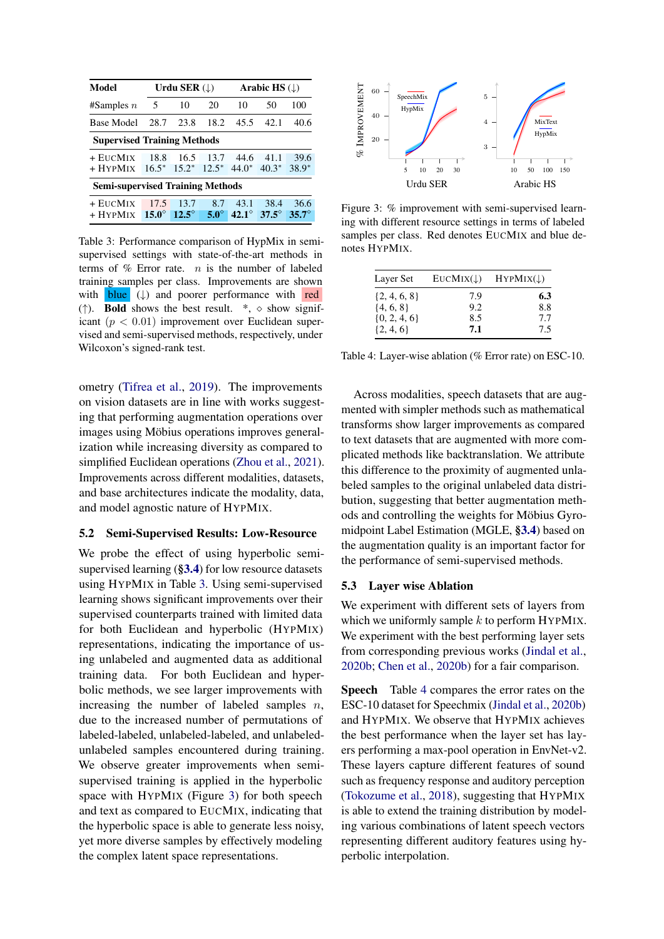<span id="page-6-0"></span>

| Model                                   |              | Urdu SER $(\downarrow)$ |             |                                              | Arabic HS $(L)$ |              |  |  |
|-----------------------------------------|--------------|-------------------------|-------------|----------------------------------------------|-----------------|--------------|--|--|
| #Samples $n$                            | 5            | 10                      | 20          | 10                                           | 50              | 100          |  |  |
| <b>Base Model</b>                       | 28.7         | 23.8                    | 18.2        | 45.5                                         | 42.1            | 40.6         |  |  |
| <b>Supervised Training Methods</b>      |              |                         |             |                                              |                 |              |  |  |
| + EucMix                                | 18.8         | 16.5                    | 13.7        | 44.6                                         | 41.1            | 39.6         |  |  |
| + HYPMIX                                | $16.5^*$     | $15.2^*$                |             | $12.5^*$ 44.0 <sup>*</sup> 40.3 <sup>*</sup> |                 | $38.9*$      |  |  |
| <b>Semi-supervised Training Methods</b> |              |                         |             |                                              |                 |              |  |  |
| + EUCMIX                                | 17.5         | 13.7                    | 8.7         | 43.1                                         | 38.4            | 36.6         |  |  |
| + HYPMIX                                | $15.0^\circ$ | $12.5^\circ$            | $5.0^\circ$ | $42.1^\circ$                                 | $37.5^{\circ}$  | $35.7^\circ$ |  |  |

Table 3: Performance comparison of HypMix in semisupervised settings with state-of-the-art methods in terms of  $%$  Error rate. *n* is the number of labeled training samples per class. Improvements are shown with **blue**  $(\downarrow)$  and poorer performance with red (†). **Bold** shows the best result.  $*, \diamond$  show significant ( $p < 0.01$ ) improvement over Euclidean supervised and semi-supervised methods, respectively, under Wilcoxon's signed-rank test.

ometry [\(Tifrea et al.,](#page-10-10) [2019\)](#page-10-10). The improvements on vision datasets are in line with works suggesting that performing augmentation operations over images using Möbius operations improves generalization while increasing diversity as compared to simplified Euclidean operations [\(Zhou et al.,](#page-10-4) [2021\)](#page-10-4). Improvements across different modalities, datasets, and base architectures indicate the modality, data, and model agnostic nature of HYPMIX.

#### 5.2 Semi-Supervised Results: Low-Resource

We probe the effect of using hyperbolic semisupervised learning ([§3.4](#page-3-2)) for low resource datasets using HYPMIX in Table [3.](#page-6-0) Using semi-supervised learning shows significant improvements over their supervised counterparts trained with limited data for both Euclidean and hyperbolic (HYPMIX) representations, indicating the importance of using unlabeled and augmented data as additional training data. For both Euclidean and hyperbolic methods, we see larger improvements with increasing the number of labeled samples  $n$ , due to the increased number of permutations of labeled-labeled, unlabeled-labeled, and unlabeledunlabeled samples encountered during training. We observe greater improvements when semisupervised training is applied in the hyperbolic space with HYPMIX (Figure [3\)](#page-6-1) for both speech and text as compared to EUCMIX, indicating that the hyperbolic space is able to generate less noisy, yet more diverse samples by effectively modeling the complex latent space representations.

<span id="page-6-1"></span>

Figure 3: % improvement with semi-supervised learning with different resource settings in terms of labeled samples per class. Red denotes EUCMIX and blue denotes HYPMIX.

<span id="page-6-2"></span>

| Layer Set        | $EUCMix(\downarrow)$ | $HYPMix(\downarrow)$ |
|------------------|----------------------|----------------------|
| $\{2, 4, 6, 8\}$ | 7.9                  | 6.3                  |
| $\{4, 6, 8\}$    | 9.2                  | 8.8                  |
| $\{0, 2, 4, 6\}$ | 8.5                  | 7.7                  |
| $\{2, 4, 6\}$    | 7.1                  | 7.5                  |

Table 4: Layer-wise ablation (% Error rate) on ESC-10.

Across modalities, speech datasets that are augmented with simpler methods such as mathematical transforms show larger improvements as compared to text datasets that are augmented with more complicated methods like backtranslation. We attribute this difference to the proximity of augmented unlabeled samples to the original unlabeled data distribution, suggesting that better augmentation methods and controlling the weights for Möbius Gyromidpoint Label Estimation (MGLE, [§3.4](#page-3-2)) based on the augmentation quality is an important factor for the performance of semi-supervised methods.

### 5.3 Layer wise Ablation

We experiment with different sets of layers from which we uniformly sample  $k$  to perform HYPMIX. We experiment with the best performing layer sets from corresponding previous works [\(Jindal et al.,](#page-9-9) [2020b;](#page-9-9) [Chen et al.,](#page-8-1) [2020b\)](#page-8-1) for a fair comparison.

Speech Table [4](#page-6-2) compares the error rates on the ESC-10 dataset for Speechmix [\(Jindal et al.,](#page-9-9) [2020b\)](#page-9-9) and HYPMIX. We observe that HYPMIX achieves the best performance when the layer set has layers performing a max-pool operation in EnvNet-v2. These layers capture different features of sound such as frequency response and auditory perception [\(Tokozume et al.,](#page-10-11) [2018\)](#page-10-11), suggesting that HYPMIX is able to extend the training distribution by modeling various combinations of latent speech vectors representing different auditory features using hyperbolic interpolation.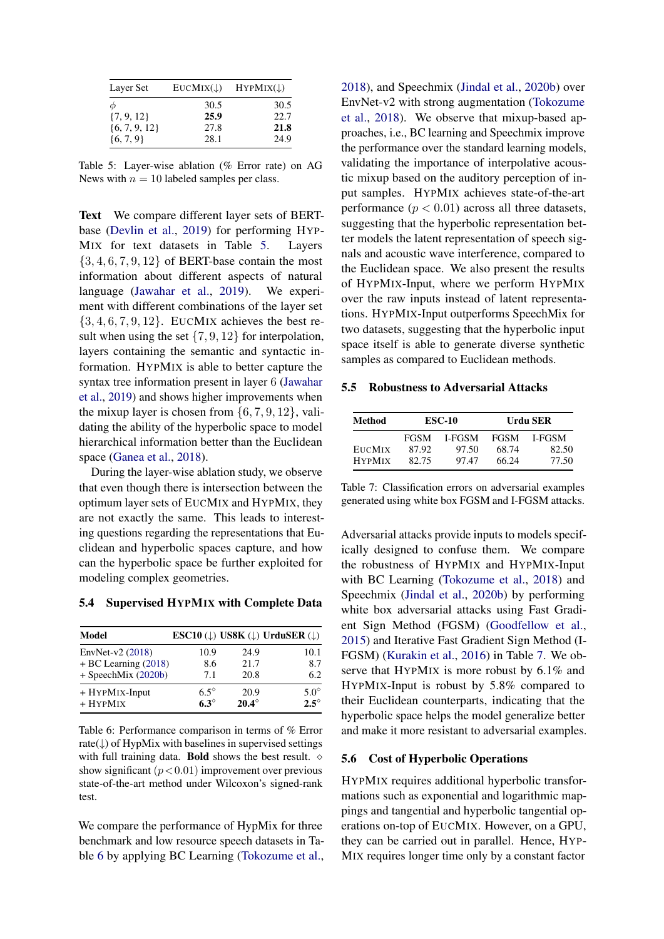<span id="page-7-0"></span>

| Layer Set         | EUCMIX(1) | $HYPMix(\downarrow)$ |
|-------------------|-----------|----------------------|
| Φ                 | 30.5      | 30.5                 |
| $\{7, 9, 12\}$    | 25.9      | 22.7                 |
| $\{6, 7, 9, 12\}$ | 27.8      | 21.8                 |
| $\{6, 7, 9\}$     | 28.1      | 24.9                 |

Table 5: Layer-wise ablation (% Error rate) on AG News with  $n = 10$  labeled samples per class.

Text We compare different layer sets of BERTbase [\(Devlin et al.,](#page-8-8) [2019\)](#page-8-8) for performing HYP-MIX for text datasets in Table [5.](#page-7-0) Layers  $\{3, 4, 6, 7, 9, 12\}$  of BERT-base contain the most information about different aspects of natural language [\(Jawahar et al.,](#page-9-18) [2019\)](#page-9-18). We experiment with different combinations of the layer set  $\{3, 4, 6, 7, 9, 12\}$ . EUCMIX achieves the best result when using the set  $\{7, 9, 12\}$  for interpolation, layers containing the semantic and syntactic information. HYPMIX is able to better capture the syntax tree information present in layer 6 [\(Jawahar](#page-9-18) [et al.,](#page-9-18) [2019\)](#page-9-18) and shows higher improvements when the mixup layer is chosen from  $\{6, 7, 9, 12\}$ , validating the ability of the hyperbolic space to model hierarchical information better than the Euclidean space [\(Ganea et al.,](#page-9-3) [2018\)](#page-9-3).

During the layer-wise ablation study, we observe that even though there is intersection between the optimum layer sets of EUCMIX and HYPMIX, they are not exactly the same. This leads to interesting questions regarding the representations that Euclidean and hyperbolic spaces capture, and how can the hyperbolic space be further exploited for modeling complex geometries.

#### 5.4 Supervised HYPMIX with Complete Data

<span id="page-7-1"></span>

| Model                  |             |              | ESC10 $(\downarrow)$ US8K $(\downarrow)$ UrduSER $(\downarrow)$ |
|------------------------|-------------|--------------|-----------------------------------------------------------------|
| EnvNet- $v2(2018)$     | 10.9        | 24.9         | 10.1                                                            |
| $+ BC$ Learning (2018) | 8.6         | 21.7         | 8.7                                                             |
| + SpeechMix (2020b)    | 7.1         | 20.8         | 6.2                                                             |
| + HYPMIX-Input         | $6.5^\circ$ | 20.9         | $5.0^\circ$                                                     |
| $+ HYPMIX$             | $6.3^\circ$ | $20.4^\circ$ | $2.5^{\circ}$                                                   |

Table 6: Performance comparison in terms of % Error rate( $\downarrow$ ) of HypMix with baselines in supervised settings with full training data. **Bold** shows the best result.  $\diamond$ show significant  $(p<0.01)$  improvement over previous state-of-the-art method under Wilcoxon's signed-rank test.

We compare the performance of HypMix for three benchmark and low resource speech datasets in Table [6](#page-7-1) by applying BC Learning [\(Tokozume et al.,](#page-10-11) [2018\)](#page-10-11), and Speechmix [\(Jindal et al.,](#page-9-9) [2020b\)](#page-9-9) over EnvNet-v2 with strong augmentation [\(Tokozume](#page-10-11) [et al.,](#page-10-11) [2018\)](#page-10-11). We observe that mixup-based approaches, i.e., BC learning and Speechmix improve the performance over the standard learning models, validating the importance of interpolative acoustic mixup based on the auditory perception of input samples. HYPMIX achieves state-of-the-art performance  $(p < 0.01)$  across all three datasets, suggesting that the hyperbolic representation better models the latent representation of speech signals and acoustic wave interference, compared to the Euclidean space. We also present the results of HYPMIX-Input, where we perform HYPMIX over the raw inputs instead of latent representations. HYPMIX-Input outperforms SpeechMix for two datasets, suggesting that the hyperbolic input space itself is able to generate diverse synthetic samples as compared to Euclidean methods.

#### 5.5 Robustness to Adversarial Attacks

<span id="page-7-2"></span>

| Method        |             | <b>ESC-10</b> | Urdu SER    |        |  |  |
|---------------|-------------|---------------|-------------|--------|--|--|
|               | <b>FGSM</b> | L-FGSM        | <b>FGSM</b> | L-FGSM |  |  |
| <b>EUCMIX</b> | 87.92       | 97.50         | 68.74       | 82.50  |  |  |
| <b>HYPMIX</b> | 82.75       | 97.47         | 66.24       | 77.50  |  |  |

Table 7: Classification errors on adversarial examples generated using white box FGSM and I-FGSM attacks.

Adversarial attacks provide inputs to models specifically designed to confuse them. We compare the robustness of HYPMIX and HYPMIX-Input with BC Learning [\(Tokozume et al.,](#page-10-11) [2018\)](#page-10-11) and Speechmix [\(Jindal et al.,](#page-9-9) [2020b\)](#page-9-9) by performing white box adversarial attacks using Fast Gradient Sign Method (FGSM) [\(Goodfellow et al.,](#page-9-19) [2015\)](#page-9-19) and Iterative Fast Gradient Sign Method (I-FGSM) [\(Kurakin et al.,](#page-9-20) [2016\)](#page-9-20) in Table [7.](#page-7-2) We observe that HYPMIX is more robust by 6.1% and HYPMIX-Input is robust by 5.8% compared to their Euclidean counterparts, indicating that the hyperbolic space helps the model generalize better and make it more resistant to adversarial examples.

#### 5.6 Cost of Hyperbolic Operations

HYPMIX requires additional hyperbolic transformations such as exponential and logarithmic mappings and tangential and hyperbolic tangential operations on-top of EUCMIX. However, on a GPU, they can be carried out in parallel. Hence, HYP-MIX requires longer time only by a constant factor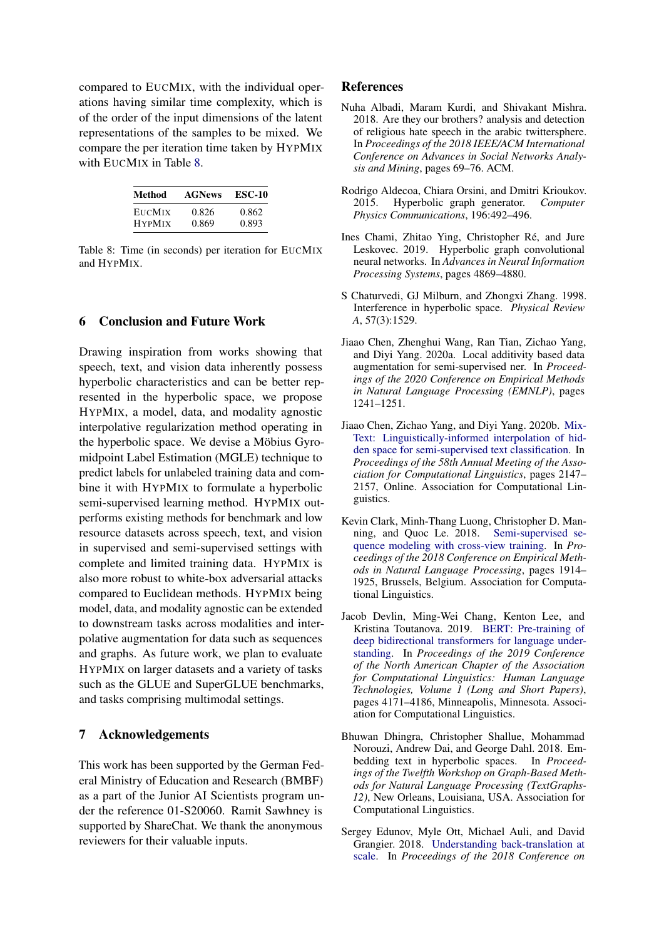compared to EUCMIX, with the individual operations having similar time complexity, which is of the order of the input dimensions of the latent representations of the samples to be mixed. We compare the per iteration time taken by HYPMIX with EUCMIX in Table [8.](#page-8-10)

<span id="page-8-10"></span>

| Method        | <b>AGNews</b> | <b>ESC-10</b> |
|---------------|---------------|---------------|
| <b>EUCMIX</b> | 0.826         | 0.862         |
| <b>HYPMIX</b> | 0.869         | 0.893         |

Table 8: Time (in seconds) per iteration for EUCMIX and HYPMIX.

## 6 Conclusion and Future Work

Drawing inspiration from works showing that speech, text, and vision data inherently possess hyperbolic characteristics and can be better represented in the hyperbolic space, we propose HYPMIX, a model, data, and modality agnostic interpolative regularization method operating in the hyperbolic space. We devise a Möbius Gyromidpoint Label Estimation (MGLE) technique to predict labels for unlabeled training data and combine it with HYPMIX to formulate a hyperbolic semi-supervised learning method. HYPMIX outperforms existing methods for benchmark and low resource datasets across speech, text, and vision in supervised and semi-supervised settings with complete and limited training data. HYPMIX is also more robust to white-box adversarial attacks compared to Euclidean methods. HYPMIX being model, data, and modality agnostic can be extended to downstream tasks across modalities and interpolative augmentation for data such as sequences and graphs. As future work, we plan to evaluate HYPMIX on larger datasets and a variety of tasks such as the GLUE and SuperGLUE benchmarks, and tasks comprising multimodal settings.

### 7 Acknowledgements

This work has been supported by the German Federal Ministry of Education and Research (BMBF) as a part of the Junior AI Scientists program under the reference 01-S20060. Ramit Sawhney is supported by ShareChat. We thank the anonymous reviewers for their valuable inputs.

#### References

- <span id="page-8-7"></span>Nuha Albadi, Maram Kurdi, and Shivakant Mishra. 2018. Are they our brothers? analysis and detection of religious hate speech in the arabic twittersphere. In *Proceedings of the 2018 IEEE/ACM International Conference on Advances in Social Networks Analysis and Mining*, pages 69–76. ACM.
- <span id="page-8-4"></span>Rodrigo Aldecoa, Chiara Orsini, and Dmitri Krioukov. 2015. Hyperbolic graph generator. *Computer Physics Communications*, 196:492–496.
- <span id="page-8-5"></span>Ines Chami, Zhitao Ying, Christopher Ré, and Jure Leskovec. 2019. Hyperbolic graph convolutional neural networks. In *Advances in Neural Information Processing Systems*, pages 4869–4880.
- <span id="page-8-9"></span>S Chaturvedi, GJ Milburn, and Zhongxi Zhang. 1998. Interference in hyperbolic space. *Physical Review A*, 57(3):1529.
- <span id="page-8-0"></span>Jiaao Chen, Zhenghui Wang, Ran Tian, Zichao Yang, and Diyi Yang. 2020a. Local additivity based data augmentation for semi-supervised ner. In *Proceedings of the 2020 Conference on Empirical Methods in Natural Language Processing (EMNLP)*, pages 1241–1251.
- <span id="page-8-1"></span>Jiaao Chen, Zichao Yang, and Diyi Yang. 2020b. [Mix-](https://doi.org/10.18653/v1/2020.acl-main.194)[Text: Linguistically-informed interpolation of hid](https://doi.org/10.18653/v1/2020.acl-main.194)[den space for semi-supervised text classification.](https://doi.org/10.18653/v1/2020.acl-main.194) In *Proceedings of the 58th Annual Meeting of the Association for Computational Linguistics*, pages 2147– 2157, Online. Association for Computational Linguistics.
- <span id="page-8-3"></span>Kevin Clark, Minh-Thang Luong, Christopher D. Manning, and Quoc Le. 2018. [Semi-supervised se](https://doi.org/10.18653/v1/D18-1217)[quence modeling with cross-view training.](https://doi.org/10.18653/v1/D18-1217) In *Proceedings of the 2018 Conference on Empirical Methods in Natural Language Processing*, pages 1914– 1925, Brussels, Belgium. Association for Computational Linguistics.
- <span id="page-8-8"></span>Jacob Devlin, Ming-Wei Chang, Kenton Lee, and Kristina Toutanova. 2019. [BERT: Pre-training of](https://doi.org/10.18653/v1/N19-1423) [deep bidirectional transformers for language under](https://doi.org/10.18653/v1/N19-1423)[standing.](https://doi.org/10.18653/v1/N19-1423) In *Proceedings of the 2019 Conference of the North American Chapter of the Association for Computational Linguistics: Human Language Technologies, Volume 1 (Long and Short Papers)*, pages 4171–4186, Minneapolis, Minnesota. Association for Computational Linguistics.
- <span id="page-8-2"></span>Bhuwan Dhingra, Christopher Shallue, Mohammad Norouzi, Andrew Dai, and George Dahl. 2018. Embedding text in hyperbolic spaces. In *Proceedings of the Twelfth Workshop on Graph-Based Methods for Natural Language Processing (TextGraphs-12)*, New Orleans, Louisiana, USA. Association for Computational Linguistics.
- <span id="page-8-6"></span>Sergey Edunov, Myle Ott, Michael Auli, and David Grangier. 2018. [Understanding back-translation at](https://doi.org/10.18653/v1/D18-1045) [scale.](https://doi.org/10.18653/v1/D18-1045) In *Proceedings of the 2018 Conference on*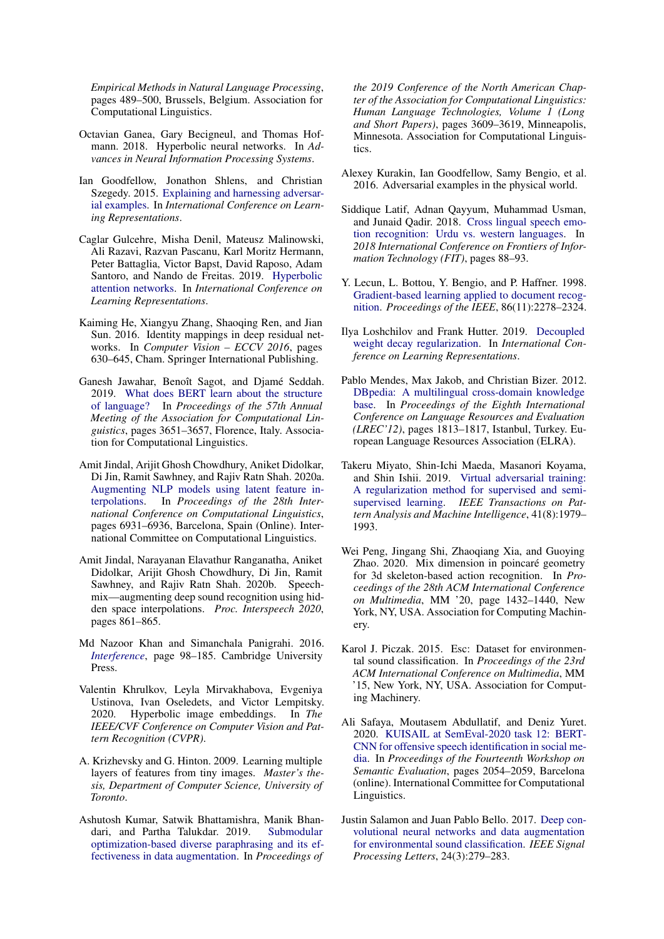*Empirical Methods in Natural Language Processing*, pages 489–500, Brussels, Belgium. Association for Computational Linguistics.

- <span id="page-9-3"></span>Octavian Ganea, Gary Becigneul, and Thomas Hofmann. 2018. Hyperbolic neural networks. In *Advances in Neural Information Processing Systems*.
- <span id="page-9-19"></span>Ian Goodfellow, Jonathon Shlens, and Christian Szegedy. 2015. [Explaining and harnessing adversar](http://arxiv.org/abs/1412.6572)[ial examples.](http://arxiv.org/abs/1412.6572) In *International Conference on Learning Representations*.
- <span id="page-9-6"></span>Caglar Gulcehre, Misha Denil, Mateusz Malinowski, Ali Razavi, Razvan Pascanu, Karl Moritz Hermann, Peter Battaglia, Victor Bapst, David Raposo, Adam Santoro, and Nando de Freitas. 2019. [Hyperbolic](https://openreview.net/forum?id=rJxHsjRqFQ) [attention networks.](https://openreview.net/forum?id=rJxHsjRqFQ) In *International Conference on Learning Representations*.
- <span id="page-9-16"></span>Kaiming He, Xiangyu Zhang, Shaoqing Ren, and Jian Sun. 2016. Identity mappings in deep residual networks. In *Computer Vision – ECCV 2016*, pages 630–645, Cham. Springer International Publishing.
- <span id="page-9-18"></span>Ganesh Jawahar, Benoît Sagot, and Djamé Seddah. 2019. [What does BERT learn about the structure](https://doi.org/10.18653/v1/P19-1356) [of language?](https://doi.org/10.18653/v1/P19-1356) In *Proceedings of the 57th Annual Meeting of the Association for Computational Linguistics*, pages 3651–3657, Florence, Italy. Association for Computational Linguistics.
- <span id="page-9-5"></span>Amit Jindal, Arijit Ghosh Chowdhury, Aniket Didolkar, Di Jin, Ramit Sawhney, and Rajiv Ratn Shah. 2020a. [Augmenting NLP models using latent feature in](https://doi.org/10.18653/v1/2020.coling-main.611)[terpolations.](https://doi.org/10.18653/v1/2020.coling-main.611) In *Proceedings of the 28th International Conference on Computational Linguistics*, pages 6931–6936, Barcelona, Spain (Online). International Committee on Computational Linguistics.
- <span id="page-9-9"></span>Amit Jindal, Narayanan Elavathur Ranganatha, Aniket Didolkar, Arijit Ghosh Chowdhury, Di Jin, Ramit Sawhney, and Rajiv Ratn Shah. 2020b. Speechmix—augmenting deep sound recognition using hidden space interpolations. *Proc. Interspeech 2020*, pages 861–865.
- <span id="page-9-4"></span>Md Nazoor Khan and Simanchala Panigrahi. 2016. *[Interference](https://doi.org/10.1017/9781316876947.003)*, page 98–185. Cambridge University Press.
- <span id="page-9-7"></span>Valentin Khrulkov, Leyla Mirvakhabova, Evgeniya Ustinova, Ivan Oseledets, and Victor Lempitsky. 2020. Hyperbolic image embeddings. In *The IEEE/CVF Conference on Computer Vision and Pattern Recognition (CVPR)*.
- <span id="page-9-14"></span>A. Krizhevsky and G. Hinton. 2009. Learning multiple layers of features from tiny images. *Master's thesis, Department of Computer Science, University of Toronto*.
- <span id="page-9-1"></span>Ashutosh Kumar, Satwik Bhattamishra, Manik Bhandari, and Partha Talukdar. 2019. [Submodular](https://doi.org/10.18653/v1/N19-1363) [optimization-based diverse paraphrasing and its ef](https://doi.org/10.18653/v1/N19-1363)[fectiveness in data augmentation.](https://doi.org/10.18653/v1/N19-1363) In *Proceedings of*

*the 2019 Conference of the North American Chapter of the Association for Computational Linguistics: Human Language Technologies, Volume 1 (Long and Short Papers)*, pages 3609–3619, Minneapolis, Minnesota. Association for Computational Linguistics.

- <span id="page-9-20"></span>Alexey Kurakin, Ian Goodfellow, Samy Bengio, et al. 2016. Adversarial examples in the physical world.
- <span id="page-9-12"></span>Siddique Latif, Adnan Qayyum, Muhammad Usman, and Junaid Qadir. 2018. [Cross lingual speech emo](https://doi.org/10.1109/FIT.2018.00023)[tion recognition: Urdu vs. western languages.](https://doi.org/10.1109/FIT.2018.00023) In *2018 International Conference on Frontiers of Information Technology (FIT)*, pages 88–93.
- <span id="page-9-0"></span>Y. Lecun, L. Bottou, Y. Bengio, and P. Haffner. 1998. [Gradient-based learning applied to document recog](https://doi.org/10.1109/5.726791)[nition.](https://doi.org/10.1109/5.726791) *Proceedings of the IEEE*, 86(11):2278–2324.
- <span id="page-9-17"></span>Ilya Loshchilov and Frank Hutter. 2019. [Decoupled](https://openreview.net/forum?id=Bkg6RiCqY7) [weight decay regularization.](https://openreview.net/forum?id=Bkg6RiCqY7) In *International Conference on Learning Representations*.
- <span id="page-9-13"></span>Pablo Mendes, Max Jakob, and Christian Bizer. 2012. [DBpedia: A multilingual cross-domain knowledge](http://www.lrec-conf.org/proceedings/lrec2012/pdf/570_Paper.pdf) [base.](http://www.lrec-conf.org/proceedings/lrec2012/pdf/570_Paper.pdf) In *Proceedings of the Eighth International Conference on Language Resources and Evaluation (LREC'12)*, pages 1813–1817, Istanbul, Turkey. European Language Resources Association (ELRA).
- <span id="page-9-2"></span>Takeru Miyato, Shin-Ichi Maeda, Masanori Koyama, and Shin Ishii. 2019. [Virtual adversarial training:](https://doi.org/10.1109/TPAMI.2018.2858821) [A regularization method for supervised and semi](https://doi.org/10.1109/TPAMI.2018.2858821)[supervised learning.](https://doi.org/10.1109/TPAMI.2018.2858821) *IEEE Transactions on Pattern Analysis and Machine Intelligence*, 41(8):1979– 1993.
- <span id="page-9-8"></span>Wei Peng, Jingang Shi, Zhaoqiang Xia, and Guoying Zhao. 2020. Mix dimension in poincaré geometry for 3d skeleton-based action recognition. In *Proceedings of the 28th ACM International Conference on Multimedia*, MM '20, page 1432–1440, New York, NY, USA. Association for Computing Machinery.
- <span id="page-9-10"></span>Karol J. Piczak. 2015. Esc: Dataset for environmental sound classification. In *Proceedings of the 23rd ACM International Conference on Multimedia*, MM '15, New York, NY, USA. Association for Computing Machinery.
- <span id="page-9-15"></span>Ali Safaya, Moutasem Abdullatif, and Deniz Yuret. 2020. [KUISAIL at SemEval-2020 task 12: BERT-](https://www.aclweb.org/anthology/2020.semeval-1.271)[CNN for offensive speech identification in social me](https://www.aclweb.org/anthology/2020.semeval-1.271)[dia.](https://www.aclweb.org/anthology/2020.semeval-1.271) In *Proceedings of the Fourteenth Workshop on Semantic Evaluation*, pages 2054–2059, Barcelona (online). International Committee for Computational Linguistics.
- <span id="page-9-11"></span>Justin Salamon and Juan Pablo Bello. 2017. [Deep con](https://doi.org/10.1109/lsp.2017.2657381)[volutional neural networks and data augmentation](https://doi.org/10.1109/lsp.2017.2657381) [for environmental sound classification.](https://doi.org/10.1109/lsp.2017.2657381) *IEEE Signal Processing Letters*, 24(3):279–283.